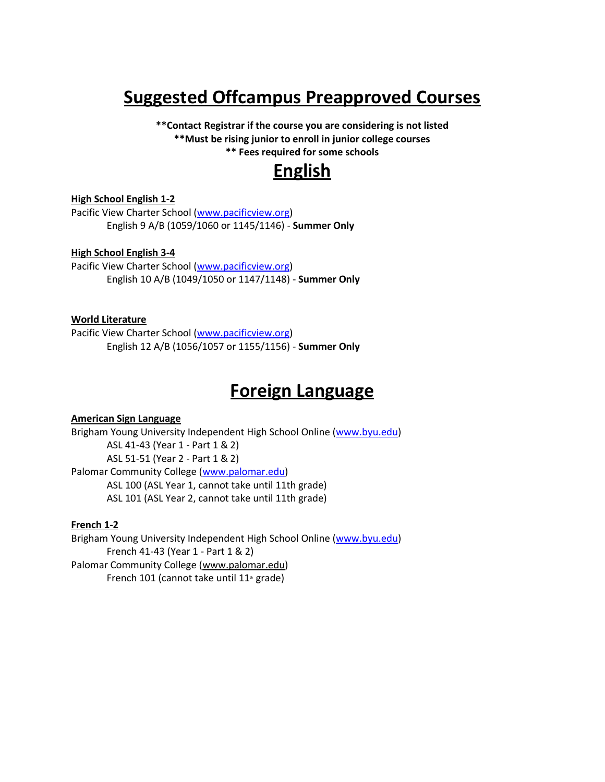# **Suggested Offcampus Preapproved Courses**

**\*\*Contact Registrar if the course you are considering is not listed \*\*Must be rising junior to enroll in junior college courses \*\* Fees required for some schools**

# **English**

# **High School English 1-2**

Pacific View Charter School [\(www.pacificview.org\)](http://www.pacificview.org/) English 9 A/B (1059/1060 or 1145/1146) - **Summer Only**

# **High School English 3-4**

Pacific View Charter School [\(www.pacificview.org\)](http://www.pacificview.org/) English 10 A/B (1049/1050 or 1147/1148) - **Summer Only**

# **World Literature**

Pacific View Charter School [\(www.pacificview.org\)](http://www.pacificview.org/) English 12 A/B (1056/1057 or 1155/1156) - **Summer Only**

# **Foreign Language**

**American Sign Language** Brigham Young University Independent High School Online [\(www.byu.edu\)](http://www.byu.edu/) ASL 41-43 (Year 1 - Part 1 & 2) ASL 51-51 (Year 2 - Part 1 & 2) Palomar Community College [\(www.palomar.edu\)](http://www.palomar.edu/) ASL 100 (ASL Year 1, cannot take until 11th grade) ASL 101 (ASL Year 2, cannot take until 11th grade)

# **French 1-2**

Brigham Young University Independent High School Online [\(www.byu.edu\)](http://www.byu.edu/) French 41-43 (Year 1 - Part 1 & 2) Palomar Community College [\(www.palomar.edu\)](http://www.palomar.edu/) French 101 (cannot take until  $11<sup>th</sup>$  grade)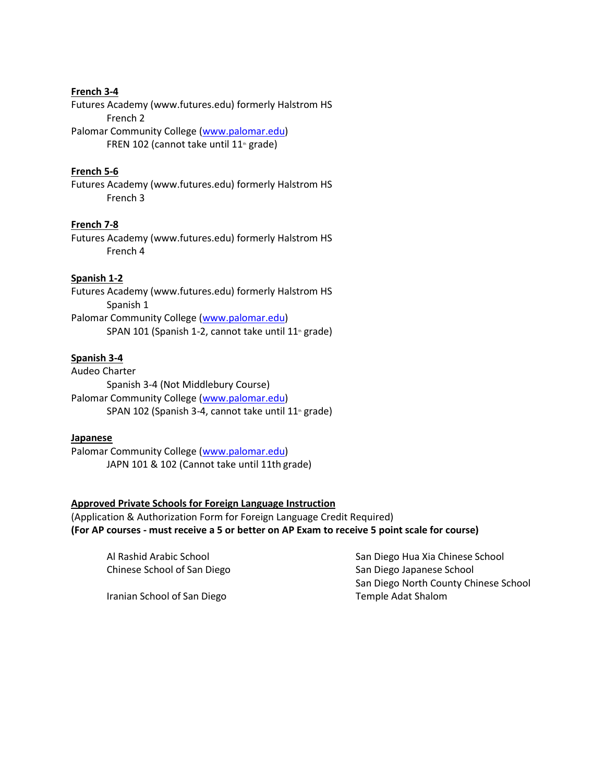# **French 3-4**

Futures Academy (www.futures.edu) formerly Halstrom HS French 2 Palomar Community College [\(www.palomar.edu\)](http://www.palomar.edu/) FREN 102 (cannot take until  $11<sup>th</sup>$  grade)

# **French 5-6**

Futures Academy (www.futures.edu) formerly Halstrom HS French 3

# **French 7-8**

Futures Academy (www.futures.edu) formerly Halstrom HS French 4

#### **Spanish 1-2**

Futures Academy (www.futures.edu) formerly Halstrom HS Spanish 1 Palomar Community College [\(www.palomar.edu\)](http://www.palomar.edu/) SPAN 101 (Spanish 1-2, cannot take until  $11<sup>*</sup>$  grade)

# **Spanish 3-4**

Audeo Charter Spanish 3-4 (Not Middlebury Course) Palomar Community College [\(www.palomar.edu\)](http://www.palomar.edu/) SPAN 102 (Spanish 3-4, cannot take until  $11<sup>*</sup>$  grade)

#### **Japanese**

Palomar Community College [\(www.palomar.edu\)](http://www.palomar.edu/) JAPN 101 & 102 (Cannot take until 11th grade)

#### **Approved Private Schools for Foreign Language Instruction**

(Application & Authorization Form for Foreign Language Credit Required) **(For AP courses - must receive a 5 or better on AP Exam to receive 5 point scale for course)**

Chinese School of San Diego San Diego San Diego Japanese School

Iranian School of San Diego Temple Adat Shalom

Al Rashid Arabic School San Diego Hua Xia Chinese School San Diego North County Chinese School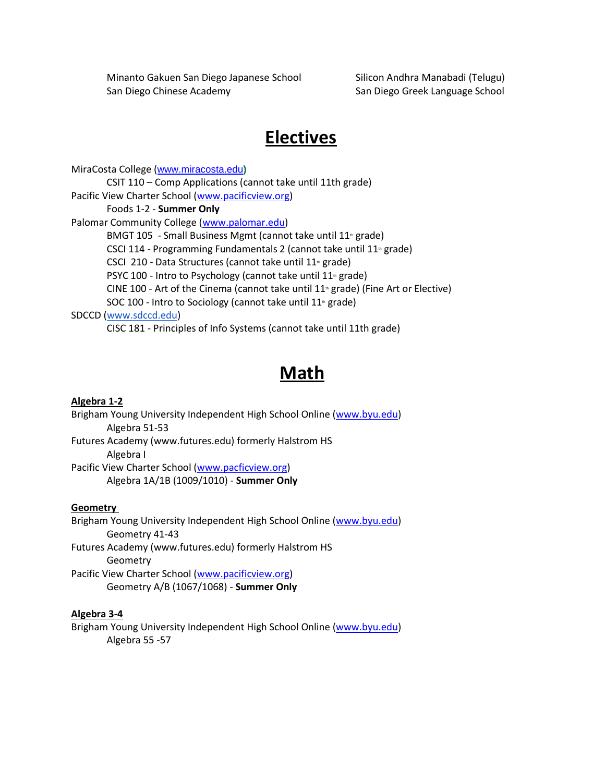Minanto Gakuen San Diego Japanese School Silicon Andhra Manabadi (Telugu) San Diego Chinese Academy San Diego Greek Language School

# **Electives**

MiraCosta College ([www.miracosta.edu](http://www.miracosta.edu/)**)** CSIT 110 – Comp Applications (cannot take until 11th grade) Pacific View Charter School [\(www.pacificview.org\)](http://www.pacificview.org/) Foods 1-2 - **Summer Only** Palomar Community College [\(www.palomar.edu\)](http://www.palomar.edu/) BMGT 105 - Small Business Mgmt (cannot take until  $11<sup>th</sup>$  grade) CSCI 114 - Programming Fundamentals 2 (cannot take until  $11<sup>*</sup>$  grade) CSCI 210 - Data Structures (cannot take until  $11<sup>th</sup>$  grade) PSYC 100 - Intro to Psychology (cannot take until  $11<sup>*</sup>$  grade) CINE 100 - Art of the Cinema (cannot take until  $11<sup>*</sup>$  grade) (Fine Art or Elective) SOC 100 - Intro to Sociology (cannot take until  $11<sup>th</sup>$  grade) SDCCD [\(www.sdccd.edu\)](http://www.sdccd.edu/) CISC 181 - Principles of Info Systems (cannot take until 11th grade)

# **Math**

#### **Algebra 1-2**

Brigham Young University Independent High School Online [\(www.byu.edu\)](http://www.byu.edu/) Algebra 51-53 Futures Academy (www.futures.edu) formerly Halstrom HS Algebra I Pacific View Charter School [\(www.pacficview.org\)](http://www.pacficview.org/) Algebra 1A/1B (1009/1010) - **Summer Only**

#### **Geometry**

Brigham Young University Independent High School Online [\(www.byu.edu\)](http://www.byu.edu/) Geometry 41-43 Futures Academy (www.futures.edu) formerly Halstrom HS Geometry Pacific View Charter School [\(www.pacificview.org\)](http://www.pacificview.org/) Geometry A/B (1067/1068) - **Summer Only**

# **Algebra 3-4**

Brigham Young University Independent High School Online [\(www.byu.edu\)](http://www.byu.edu/) Algebra 55 -57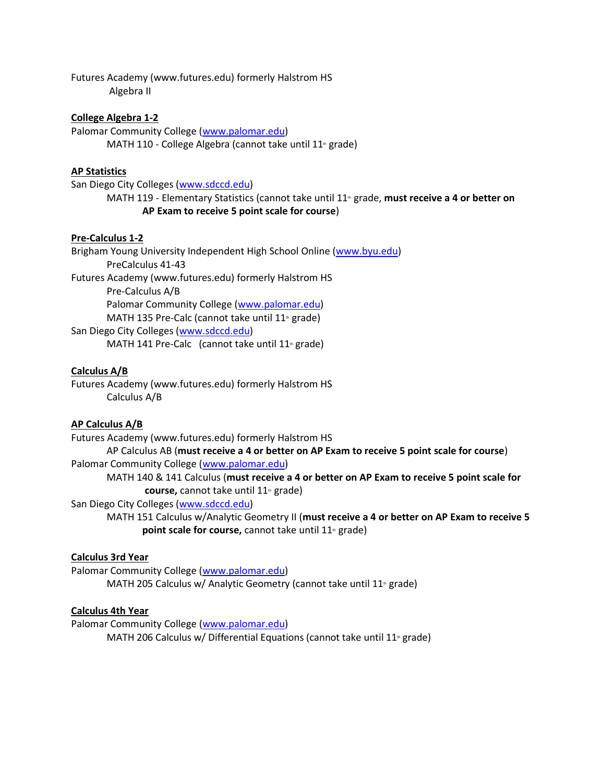Futures Academy (www.futures.edu) formerly Halstrom HS Algebra II

#### **College Algebra 1-2**

Palomar Community College [\(www.palomar.edu\)](http://www.palomar.edu/) MATH 110 - College Algebra (cannot take until  $11<sup>th</sup>$  grade)

#### **AP Statistics**

San Diego City Colleges [\(www.sdccd.edu\)](http://www.sdccd.edu/)

MATH 119 - Elementary Statistics (cannot take until 11<sup>th</sup> grade, must receive a 4 or better on **AP Exam to receive 5 point scale for course**)

#### **Pre-Calculus 1-2**

Brigham Young University Independent High School Online [\(www.byu.edu\)](http://www.byu.edu/) PreCalculus 41-43 Futures Academy (www.futures.edu) formerly Halstrom HS Pre-Calculus A/B Palomar Community College [\(www.palomar.edu\)](http://www.palomar.edu/) MATH 135 Pre-Calc (cannot take until  $11<sup>th</sup>$  grade) San Diego City Colleges [\(www.sdccd.edu\)](http://www.sdccd.edu/) MATH 141 Pre-Calc (cannot take until  $11<sup>th</sup>$  grade)

#### **Calculus A/B**

Futures Academy (www.futures.edu) formerly Halstrom HS Calculus A/B

#### **AP Calculus A/B**

Futures Academy (www.futures.edu) formerly Halstrom HS AP Calculus AB (**must receive a 4 or better on AP Exam to receive 5 point scale for course**) Palomar Community College [\(www.palomar.edu\)](http://www.palomar.edu/)

MATH 140 & 141 Calculus (**must receive a 4 or better on AP Exam to receive 5 point scale for course, cannot take until 11<sup>th</sup> grade)** 

San Diego City Colleges [\(www.sdccd.edu\)](http://www.sdccd.edu/)

MATH 151 Calculus w/Analytic Geometry II (**must receive a 4 or better on AP Exam to receive 5 point scale for course,** cannot take until 11<sup>th</sup> grade)

# **Calculus 3rd Year**

Palomar Community College [\(www.palomar.edu\)](http://www.palomar.edu/) MATH 205 Calculus w/ Analytic Geometry (cannot take until  $11<sup>th</sup>$  grade)

# **Calculus 4th Year**

Palomar Community College [\(www.palomar.edu\)](http://www.palomar.edu/) MATH 206 Calculus w/ Differential Equations (cannot take until  $11<sup>th</sup>$  grade)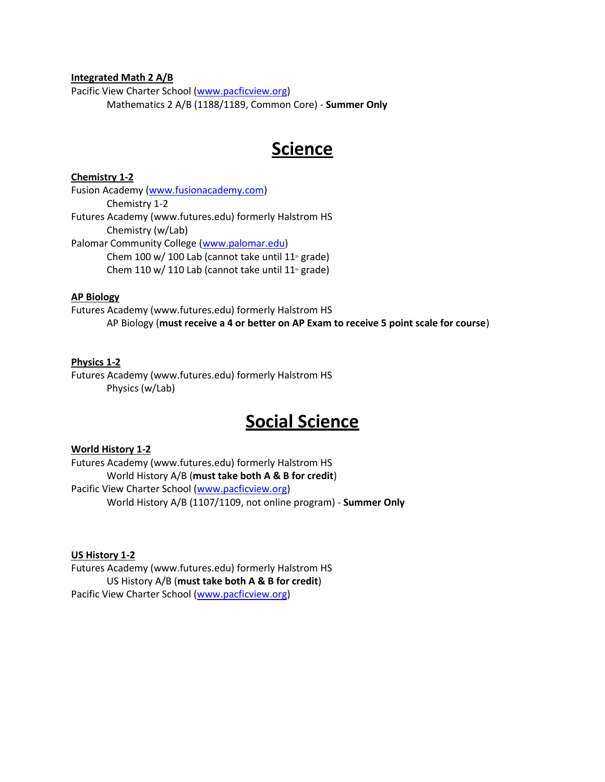#### **Integrated Math 2 A/B**

Pacific View Charter School [\(www.pacficview.org\)](http://www.pacficview.org/) Mathematics 2 A/B (1188/1189, Common Core) - **Summer Only**

# **Science**

# **Chemistry 1-2**

Fusion Academy [\(www.fusionacademy.com\)](http://www.fusionacademy.com/) Chemistry 1-2 Futures Academy (www.futures.edu) formerly Halstrom HS Chemistry (w/Lab) Palomar Community College [\(www.palomar.edu\)](http://www.palomar.edu/) Chem 100 w/ 100 Lab (cannot take until  $11<sup>*</sup>$  grade) Chem 110 w/ 110 Lab (cannot take until  $11<sup>*</sup>$  grade)

# **AP Biology**

Futures Academy (www.futures.edu) formerly Halstrom HS AP Biology (**must receive a 4 or better on AP Exam to receive 5 point scale for course**)

# **Physics 1-2**

Futures Academy (www.futures.edu) formerly Halstrom HS Physics (w/Lab)

# **Social Science**

# **World History 1-2**

Futures Academy (www.futures.edu) formerly Halstrom HS World History A/B (**must take both A & B for credit**) Pacific View Charter School [\(www.pacficview.org\)](http://www.pacficview.org/) World History A/B (1107/1109, not online program) - **Summer Only**

# **US History 1-2**

Futures Academy (www.futures.edu) formerly Halstrom HS US History A/B (**must take both A & B for credit**) Pacific View Charter School [\(www.pacficview.org\)](http://www.pacficview.org/)